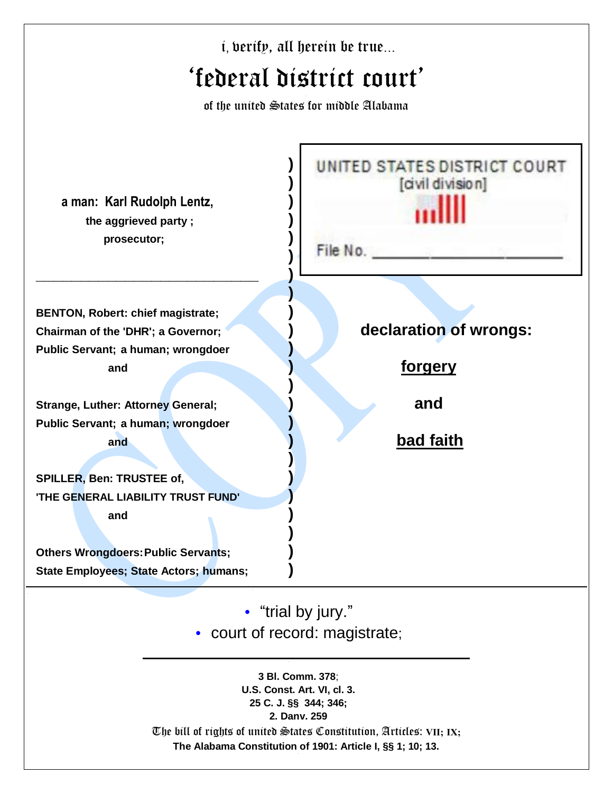|                                                                                                                      | <i>i</i> , berify, all herein be true                       |
|----------------------------------------------------------------------------------------------------------------------|-------------------------------------------------------------|
|                                                                                                                      | 'federal district court'                                    |
|                                                                                                                      | of the united States for middle Alabama                     |
| a man: Karl Rudolph Lentz,<br>the aggrieved party;<br>prosecutor;                                                    | UNITED STATES DISTRICT COURT<br>[dvil division]<br>File No. |
| <b>BENTON, Robert: chief magistrate;</b><br>Chairman of the 'DHR'; a Governor;<br>Public Servant; a human; wrongdoer | declaration of wrongs:                                      |
| and                                                                                                                  | <u>forgery</u>                                              |
| <b>Strange, Luther: Attorney General;</b>                                                                            | and                                                         |
| Public Servant; a human; wrongdoer                                                                                   |                                                             |
| and                                                                                                                  | <u>bad faith</u>                                            |
| <b>SPILLER, Ben: TRUSTEE of,</b>                                                                                     |                                                             |
| <b>'THE GENERAL LIABILITY TRUST FUND'</b>                                                                            |                                                             |
| and                                                                                                                  |                                                             |
| <b>Others Wrongdoers: Public Servants;</b>                                                                           |                                                             |
| <b>State Employees; State Actors; humans;</b>                                                                        |                                                             |
|                                                                                                                      | • "trial by jury."<br>• court of record: magistrate;        |
|                                                                                                                      | 3 Bl. Comm. 378;<br>U.S. Const. Art. VI, cl. 3.             |

**25 C. J. §§ 344; 346; 2. Danv. 259**

The bill of rights of united States Constitution, Articles: **VII; IX; The Alabama Constitution of 1901: Article I, §§ 1; 10; 13.**